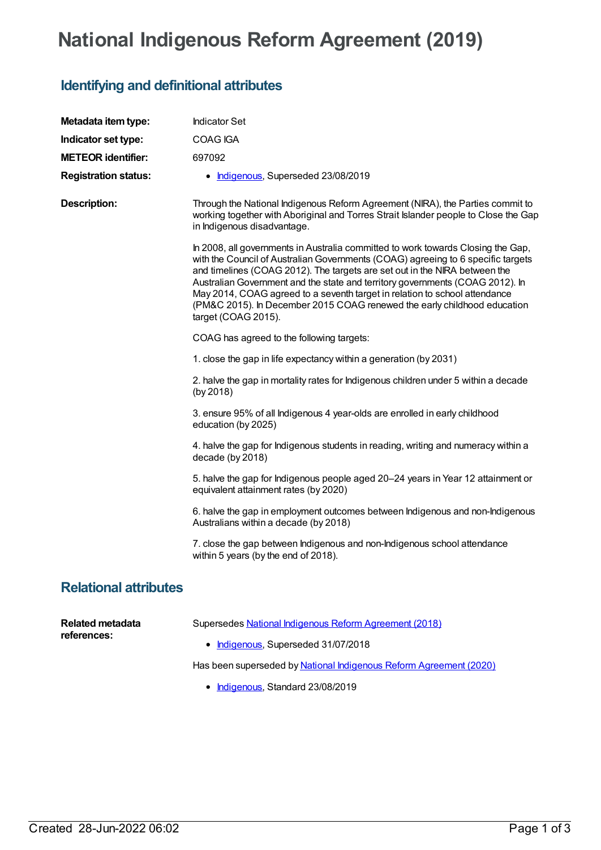## **National Indigenous Reform Agreement (2019)**

## **Identifying and definitional attributes**

| Metadata item type:             | <b>Indicator Set</b>                                                                                                                                                                                                                                                                                                                                                                                                                                                                                                 |
|---------------------------------|----------------------------------------------------------------------------------------------------------------------------------------------------------------------------------------------------------------------------------------------------------------------------------------------------------------------------------------------------------------------------------------------------------------------------------------------------------------------------------------------------------------------|
| Indicator set type:             | COAG IGA                                                                                                                                                                                                                                                                                                                                                                                                                                                                                                             |
| <b>METEOR identifier:</b>       | 697092                                                                                                                                                                                                                                                                                                                                                                                                                                                                                                               |
| <b>Registration status:</b>     | • Indigenous, Superseded 23/08/2019                                                                                                                                                                                                                                                                                                                                                                                                                                                                                  |
| <b>Description:</b>             | Through the National Indigenous Reform Agreement (NIRA), the Parties commit to<br>working together with Aboriginal and Torres Strait Islander people to Close the Gap<br>in Indigenous disadvantage.                                                                                                                                                                                                                                                                                                                 |
|                                 | In 2008, all governments in Australia committed to work towards Closing the Gap,<br>with the Council of Australian Governments (COAG) agreeing to 6 specific targets<br>and timelines (COAG 2012). The targets are set out in the NIRA between the<br>Australian Government and the state and territory governments (COAG 2012). In<br>May 2014, COAG agreed to a seventh target in relation to school attendance<br>(PM&C 2015). In December 2015 COAG renewed the early childhood education<br>target (COAG 2015). |
|                                 | COAG has agreed to the following targets:                                                                                                                                                                                                                                                                                                                                                                                                                                                                            |
|                                 | 1. close the gap in life expectancy within a generation (by 2031)                                                                                                                                                                                                                                                                                                                                                                                                                                                    |
|                                 | 2. halve the gap in mortality rates for Indigenous children under 5 within a decade<br>(by 2018)                                                                                                                                                                                                                                                                                                                                                                                                                     |
|                                 | 3. ensure 95% of all Indigenous 4 year-olds are enrolled in early childhood<br>education (by 2025)                                                                                                                                                                                                                                                                                                                                                                                                                   |
|                                 | 4. halve the gap for Indigenous students in reading, writing and numeracy within a<br>decade (by 2018)                                                                                                                                                                                                                                                                                                                                                                                                               |
|                                 | 5. halve the gap for Indigenous people aged 20-24 years in Year 12 attainment or<br>equivalent attainment rates (by 2020)                                                                                                                                                                                                                                                                                                                                                                                            |
|                                 | 6. halve the gap in employment outcomes between Indigenous and non-Indigenous<br>Australians within a decade (by 2018)                                                                                                                                                                                                                                                                                                                                                                                               |
|                                 | 7. close the gap between Indigenous and non-Indigenous school attendance<br>within 5 years (by the end of 2018).                                                                                                                                                                                                                                                                                                                                                                                                     |
| <b>Relational attributes</b>    |                                                                                                                                                                                                                                                                                                                                                                                                                                                                                                                      |
| Related metadata<br>references: | Supersedes National Indigenous Reform Agreement (2018)<br>• Indigenous, Superseded 31/07/2018                                                                                                                                                                                                                                                                                                                                                                                                                        |

Has been superseded by National Indigenous Reform [Agreement](https://meteor.aihw.gov.au/content/718468) (2020)

• [Indigenous](https://meteor.aihw.gov.au/RegistrationAuthority/6), Standard 23/08/2019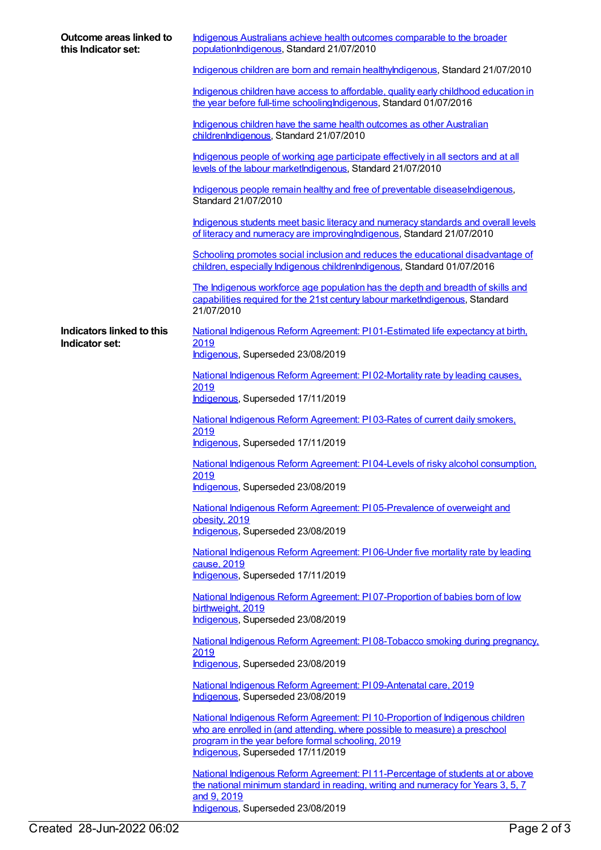| Outcome areas linked to<br>this Indicator set: | Indigenous Australians achieve health outcomes comparable to the broader<br>populationIndigenous, Standard 21/07/2010                                                                                                                                 |
|------------------------------------------------|-------------------------------------------------------------------------------------------------------------------------------------------------------------------------------------------------------------------------------------------------------|
|                                                | Indigenous children are born and remain healthylndigenous, Standard 21/07/2010                                                                                                                                                                        |
|                                                | Indigenous children have access to affordable, quality early childhood education in<br>the year before full-time schooling Indigenous, Standard 01/07/2016                                                                                            |
|                                                | Indigenous children have the same health outcomes as other Australian<br>childrenIndigenous, Standard 21/07/2010                                                                                                                                      |
|                                                | Indigenous people of working age participate effectively in all sectors and at all<br>levels of the labour marketIndigenous, Standard 21/07/2010                                                                                                      |
|                                                | Indigenous people remain healthy and free of preventable diseaseIndigenous,<br>Standard 21/07/2010                                                                                                                                                    |
|                                                | Indigenous students meet basic literacy and numeracy standards and overall levels<br>of literacy and numeracy are improving Indigenous, Standard 21/07/2010                                                                                           |
|                                                | Schooling promotes social inclusion and reduces the educational disadvantage of<br>children, especially Indigenous childrenIndigenous, Standard 01/07/2016                                                                                            |
|                                                | The Indigenous workforce age population has the depth and breadth of skills and<br>capabilities required for the 21st century labour marketIndigenous, Standard<br>21/07/2010                                                                         |
| Indicators linked to this                      | National Indigenous Reform Agreement: PI01-Estimated life expectancy at birth,                                                                                                                                                                        |
| Indicator set:                                 | 2019<br>Indigenous, Superseded 23/08/2019                                                                                                                                                                                                             |
|                                                | National Indigenous Reform Agreement: PI 02-Mortality rate by leading causes,                                                                                                                                                                         |
|                                                | 2019<br>Indigenous, Superseded 17/11/2019                                                                                                                                                                                                             |
|                                                | National Indigenous Reform Agreement: P103-Rates of current daily smokers,<br>2019<br>Indigenous, Superseded 17/11/2019                                                                                                                               |
|                                                | National Indigenous Reform Agreement: PI04-Levels of risky alcohol consumption,                                                                                                                                                                       |
|                                                | 2019<br>Indigenous, Superseded 23/08/2019                                                                                                                                                                                                             |
|                                                | National Indigenous Reform Agreement: PI05-Prevalence of overweight and                                                                                                                                                                               |
|                                                | obesity, 2019<br>Indigenous, Superseded 23/08/2019                                                                                                                                                                                                    |
|                                                | National Indigenous Reform Agreement: PI06-Under five mortality rate by leading<br>cause, 2019<br>Indigenous, Superseded 17/11/2019                                                                                                                   |
|                                                | National Indigenous Reform Agreement: PI07-Proportion of babies born of low                                                                                                                                                                           |
|                                                | birthweight, 2019<br>Indigenous, Superseded 23/08/2019                                                                                                                                                                                                |
|                                                | National Indigenous Reform Agreement: PI08-Tobacco smoking during pregnancy.<br>2019<br>Indigenous, Superseded 23/08/2019                                                                                                                             |
|                                                |                                                                                                                                                                                                                                                       |
|                                                | National Indigenous Reform Agreement: P109-Antenatal care, 2019<br>Indigenous, Superseded 23/08/2019                                                                                                                                                  |
|                                                | National Indigenous Reform Agreement: PI 10-Proportion of Indigenous children<br>who are enrolled in (and attending, where possible to measure) a preschool<br>program in the year before formal schooling, 2019<br>Indigenous, Superseded 17/11/2019 |
|                                                | National Indigenous Reform Agreement: PI 11-Percentage of students at or above<br>the national minimum standard in reading, writing and numeracy for Years 3, 5, 7<br>and 9, 2019<br>Indigenous, Superseded 23/08/2019                                |